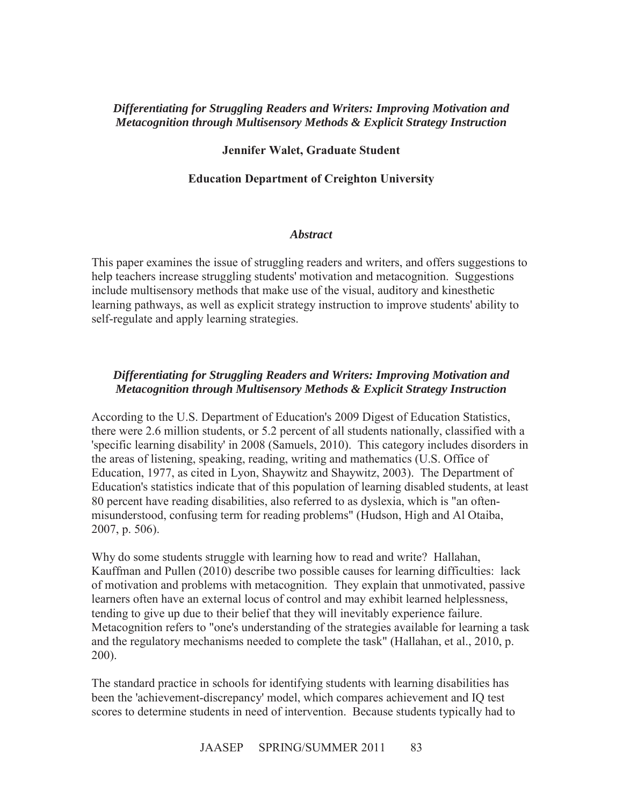## *Differentiating for Struggling Readers and Writers: Improving Motivation and Metacognition through Multisensory Methods & Explicit Strategy Instruction*

### **Jennifer Walet, Graduate Student**

## **Education Department of Creighton University**

#### *Abstract*

This paper examines the issue of struggling readers and writers, and offers suggestions to help teachers increase struggling students' motivation and metacognition. Suggestions include multisensory methods that make use of the visual, auditory and kinesthetic learning pathways, as well as explicit strategy instruction to improve students' ability to self-regulate and apply learning strategies.

# *Differentiating for Struggling Readers and Writers: Improving Motivation and Metacognition through Multisensory Methods & Explicit Strategy Instruction*

According to the U.S. Department of Education's 2009 Digest of Education Statistics, there were 2.6 million students, or 5.2 percent of all students nationally, classified with a 'specific learning disability' in 2008 (Samuels, 2010). This category includes disorders in the areas of listening, speaking, reading, writing and mathematics (U.S. Office of Education, 1977, as cited in Lyon, Shaywitz and Shaywitz, 2003). The Department of Education's statistics indicate that of this population of learning disabled students, at least 80 percent have reading disabilities, also referred to as dyslexia, which is "an oftenmisunderstood, confusing term for reading problems" (Hudson, High and Al Otaiba, 2007, p. 506).

Why do some students struggle with learning how to read and write? Hallahan, Kauffman and Pullen (2010) describe two possible causes for learning difficulties: lack of motivation and problems with metacognition. They explain that unmotivated, passive learners often have an external locus of control and may exhibit learned helplessness, tending to give up due to their belief that they will inevitably experience failure. Metacognition refers to "one's understanding of the strategies available for learning a task and the regulatory mechanisms needed to complete the task" (Hallahan, et al., 2010, p. 200).

The standard practice in schools for identifying students with learning disabilities has been the 'achievement-discrepancy' model, which compares achievement and IQ test scores to determine students in need of intervention. Because students typically had to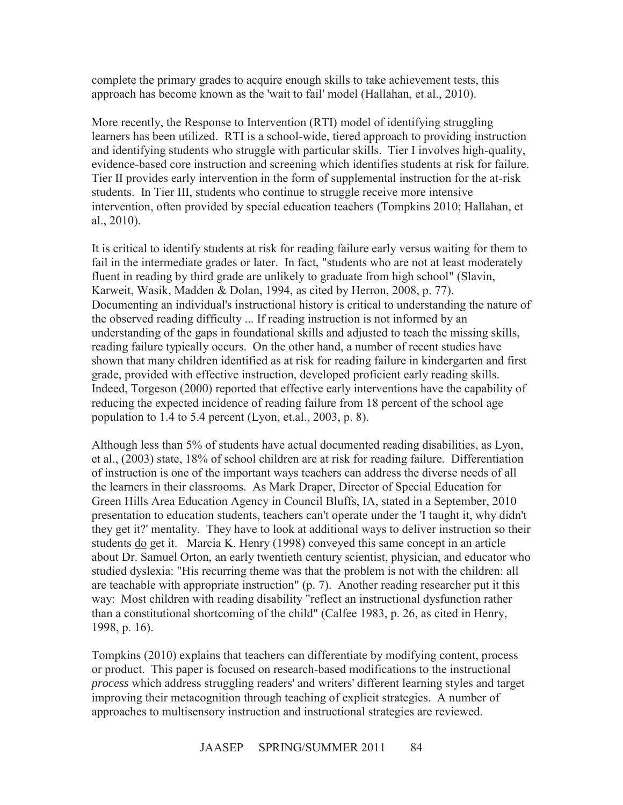complete the primary grades to acquire enough skills to take achievement tests, this approach has become known as the 'wait to fail' model (Hallahan, et al., 2010).

More recently, the Response to Intervention (RTI) model of identifying struggling learners has been utilized. RTI is a school-wide, tiered approach to providing instruction and identifying students who struggle with particular skills. Tier I involves high-quality, evidence-based core instruction and screening which identifies students at risk for failure. Tier II provides early intervention in the form of supplemental instruction for the at-risk students. In Tier III, students who continue to struggle receive more intensive intervention, often provided by special education teachers (Tompkins 2010; Hallahan, et al., 2010).

It is critical to identify students at risk for reading failure early versus waiting for them to fail in the intermediate grades or later. In fact, "students who are not at least moderately fluent in reading by third grade are unlikely to graduate from high school" (Slavin, Karweit, Wasik, Madden & Dolan, 1994, as cited by Herron, 2008, p. 77). Documenting an individual's instructional history is critical to understanding the nature of the observed reading difficulty ... If reading instruction is not informed by an understanding of the gaps in foundational skills and adjusted to teach the missing skills, reading failure typically occurs. On the other hand, a number of recent studies have shown that many children identified as at risk for reading failure in kindergarten and first grade, provided with effective instruction, developed proficient early reading skills. Indeed, Torgeson (2000) reported that effective early interventions have the capability of reducing the expected incidence of reading failure from 18 percent of the school age population to 1.4 to 5.4 percent (Lyon, et.al., 2003, p. 8).

Although less than 5% of students have actual documented reading disabilities, as Lyon, et al., (2003) state, 18% of school children are at risk for reading failure. Differentiation of instruction is one of the important ways teachers can address the diverse needs of all the learners in their classrooms. As Mark Draper, Director of Special Education for Green Hills Area Education Agency in Council Bluffs, IA, stated in a September, 2010 presentation to education students, teachers can't operate under the 'I taught it, why didn't they get it?' mentality. They have to look at additional ways to deliver instruction so their students do get it. Marcia K. Henry (1998) conveyed this same concept in an article about Dr. Samuel Orton, an early twentieth century scientist, physician, and educator who studied dyslexia: "His recurring theme was that the problem is not with the children: all are teachable with appropriate instruction" (p. 7). Another reading researcher put it this way: Most children with reading disability "reflect an instructional dysfunction rather than a constitutional shortcoming of the child" (Calfee 1983, p. 26, as cited in Henry, 1998, p. 16).

Tompkins (2010) explains that teachers can differentiate by modifying content, process or product. This paper is focused on research-based modifications to the instructional *process* which address struggling readers' and writers' different learning styles and target improving their metacognition through teaching of explicit strategies. A number of approaches to multisensory instruction and instructional strategies are reviewed.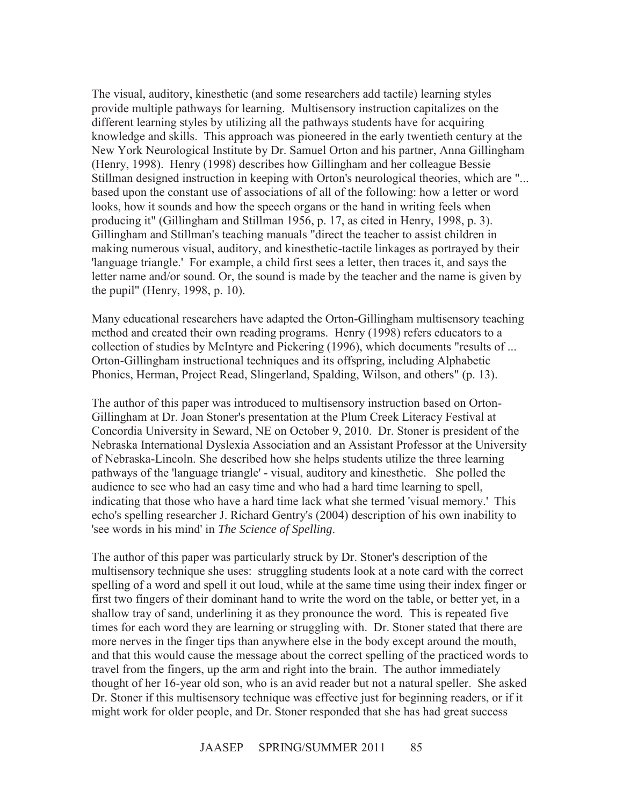The visual, auditory, kinesthetic (and some researchers add tactile) learning styles provide multiple pathways for learning. Multisensory instruction capitalizes on the different learning styles by utilizing all the pathways students have for acquiring knowledge and skills. This approach was pioneered in the early twentieth century at the New York Neurological Institute by Dr. Samuel Orton and his partner, Anna Gillingham (Henry, 1998). Henry (1998) describes how Gillingham and her colleague Bessie Stillman designed instruction in keeping with Orton's neurological theories, which are "... based upon the constant use of associations of all of the following: how a letter or word looks, how it sounds and how the speech organs or the hand in writing feels when producing it" (Gillingham and Stillman 1956, p. 17, as cited in Henry, 1998, p. 3). Gillingham and Stillman's teaching manuals "direct the teacher to assist children in making numerous visual, auditory, and kinesthetic-tactile linkages as portrayed by their 'language triangle.' For example, a child first sees a letter, then traces it, and says the letter name and/or sound. Or, the sound is made by the teacher and the name is given by the pupil" (Henry, 1998, p. 10).

Many educational researchers have adapted the Orton-Gillingham multisensory teaching method and created their own reading programs. Henry (1998) refers educators to a collection of studies by McIntyre and Pickering (1996), which documents "results of ... Orton-Gillingham instructional techniques and its offspring, including Alphabetic Phonics, Herman, Project Read, Slingerland, Spalding, Wilson, and others" (p. 13).

The author of this paper was introduced to multisensory instruction based on Orton-Gillingham at Dr. Joan Stoner's presentation at the Plum Creek Literacy Festival at Concordia University in Seward, NE on October 9, 2010. Dr. Stoner is president of the Nebraska International Dyslexia Association and an Assistant Professor at the University of Nebraska-Lincoln. She described how she helps students utilize the three learning pathways of the 'language triangle' - visual, auditory and kinesthetic. She polled the audience to see who had an easy time and who had a hard time learning to spell, indicating that those who have a hard time lack what she termed 'visual memory.' This echo's spelling researcher J. Richard Gentry's (2004) description of his own inability to 'see words in his mind' in *The Science of Spelling*.

The author of this paper was particularly struck by Dr. Stoner's description of the multisensory technique she uses: struggling students look at a note card with the correct spelling of a word and spell it out loud, while at the same time using their index finger or first two fingers of their dominant hand to write the word on the table, or better yet, in a shallow tray of sand, underlining it as they pronounce the word. This is repeated five times for each word they are learning or struggling with. Dr. Stoner stated that there are more nerves in the finger tips than anywhere else in the body except around the mouth, and that this would cause the message about the correct spelling of the practiced words to travel from the fingers, up the arm and right into the brain. The author immediately thought of her 16-year old son, who is an avid reader but not a natural speller. She asked Dr. Stoner if this multisensory technique was effective just for beginning readers, or if it might work for older people, and Dr. Stoner responded that she has had great success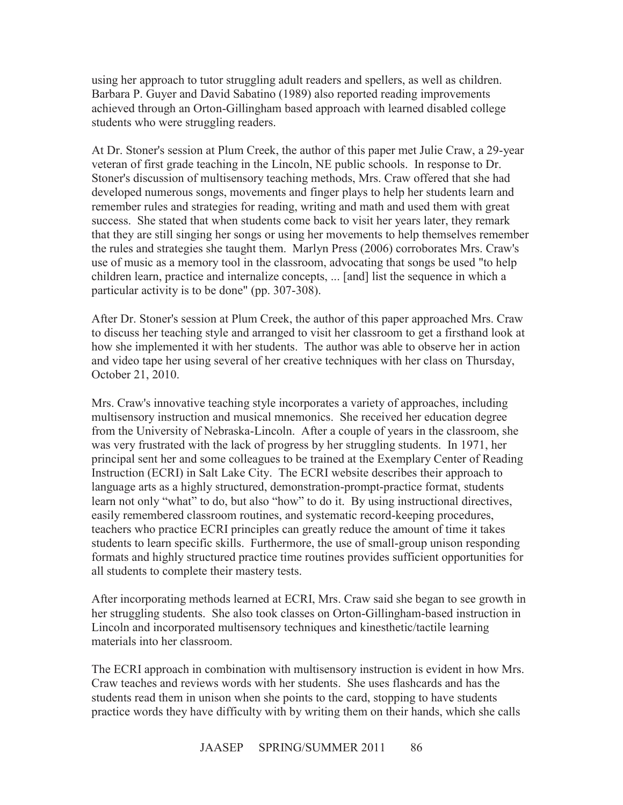using her approach to tutor struggling adult readers and spellers, as well as children. Barbara P. Guyer and David Sabatino (1989) also reported reading improvements achieved through an Orton-Gillingham based approach with learned disabled college students who were struggling readers.

At Dr. Stoner's session at Plum Creek, the author of this paper met Julie Craw, a 29-year veteran of first grade teaching in the Lincoln, NE public schools. In response to Dr. Stoner's discussion of multisensory teaching methods, Mrs. Craw offered that she had developed numerous songs, movements and finger plays to help her students learn and remember rules and strategies for reading, writing and math and used them with great success. She stated that when students come back to visit her years later, they remark that they are still singing her songs or using her movements to help themselves remember the rules and strategies she taught them. Marlyn Press (2006) corroborates Mrs. Craw's use of music as a memory tool in the classroom, advocating that songs be used "to help children learn, practice and internalize concepts, ... [and] list the sequence in which a particular activity is to be done" (pp. 307-308).

After Dr. Stoner's session at Plum Creek, the author of this paper approached Mrs. Craw to discuss her teaching style and arranged to visit her classroom to get a firsthand look at how she implemented it with her students. The author was able to observe her in action and video tape her using several of her creative techniques with her class on Thursday, October 21, 2010.

Mrs. Craw's innovative teaching style incorporates a variety of approaches, including multisensory instruction and musical mnemonics. She received her education degree from the University of Nebraska-Lincoln. After a couple of years in the classroom, she was very frustrated with the lack of progress by her struggling students. In 1971, her principal sent her and some colleagues to be trained at the Exemplary Center of Reading Instruction (ECRI) in Salt Lake City. The ECRI website describes their approach to language arts as a highly structured, demonstration-prompt-practice format, students learn not only "what" to do, but also "how" to do it. By using instructional directives, easily remembered classroom routines, and systematic record-keeping procedures, teachers who practice ECRI principles can greatly reduce the amount of time it takes students to learn specific skills. Furthermore, the use of small-group unison responding formats and highly structured practice time routines provides sufficient opportunities for all students to complete their mastery tests.

After incorporating methods learned at ECRI, Mrs. Craw said she began to see growth in her struggling students. She also took classes on Orton-Gillingham-based instruction in Lincoln and incorporated multisensory techniques and kinesthetic/tactile learning materials into her classroom.

The ECRI approach in combination with multisensory instruction is evident in how Mrs. Craw teaches and reviews words with her students. She uses flashcards and has the students read them in unison when she points to the card, stopping to have students practice words they have difficulty with by writing them on their hands, which she calls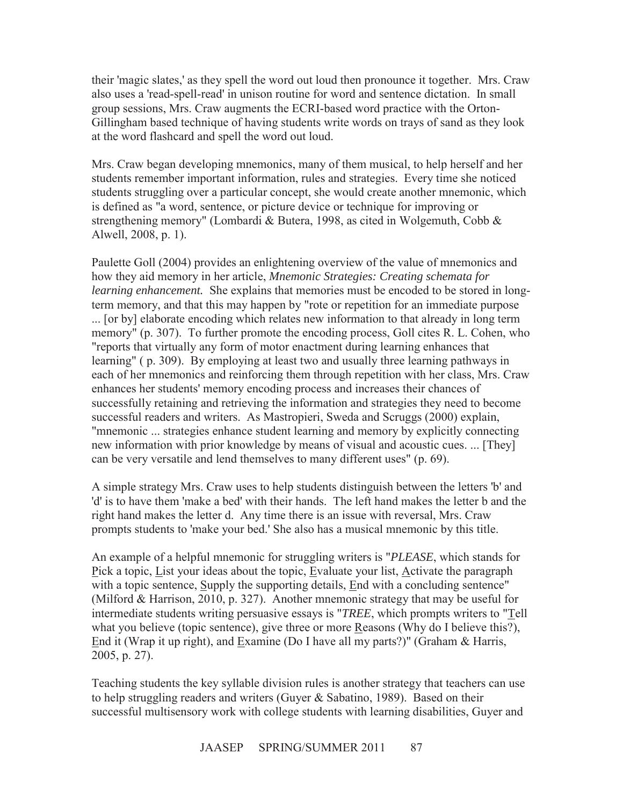their 'magic slates,' as they spell the word out loud then pronounce it together. Mrs. Craw also uses a 'read-spell-read' in unison routine for word and sentence dictation. In small group sessions, Mrs. Craw augments the ECRI-based word practice with the Orton-Gillingham based technique of having students write words on trays of sand as they look at the word flashcard and spell the word out loud.

Mrs. Craw began developing mnemonics, many of them musical, to help herself and her students remember important information, rules and strategies. Every time she noticed students struggling over a particular concept, she would create another mnemonic, which is defined as "a word, sentence, or picture device or technique for improving or strengthening memory" (Lombardi & Butera, 1998, as cited in Wolgemuth, Cobb & Alwell, 2008, p. 1).

Paulette Goll (2004) provides an enlightening overview of the value of mnemonics and how they aid memory in her article, *Mnemonic Strategies: Creating schemata for learning enhancement.* She explains that memories must be encoded to be stored in longterm memory, and that this may happen by "rote or repetition for an immediate purpose ... [or by] elaborate encoding which relates new information to that already in long term memory" (p. 307). To further promote the encoding process, Goll cites R. L. Cohen, who "reports that virtually any form of motor enactment during learning enhances that learning" ( p. 309). By employing at least two and usually three learning pathways in each of her mnemonics and reinforcing them through repetition with her class, Mrs. Craw enhances her students' memory encoding process and increases their chances of successfully retaining and retrieving the information and strategies they need to become successful readers and writers. As Mastropieri, Sweda and Scruggs (2000) explain, "mnemonic ... strategies enhance student learning and memory by explicitly connecting new information with prior knowledge by means of visual and acoustic cues. ... [They] can be very versatile and lend themselves to many different uses" (p. 69).

A simple strategy Mrs. Craw uses to help students distinguish between the letters 'b' and 'd' is to have them 'make a bed' with their hands. The left hand makes the letter b and the right hand makes the letter d. Any time there is an issue with reversal, Mrs. Craw prompts students to 'make your bed.' She also has a musical mnemonic by this title.

An example of a helpful mnemonic for struggling writers is "*PLEASE*, which stands for Pick a topic, List your ideas about the topic, Evaluate your list, Activate the paragraph with a topic sentence, Supply the supporting details, End with a concluding sentence" (Milford & Harrison, 2010, p. 327). Another mnemonic strategy that may be useful for intermediate students writing persuasive essays is "*TREE*, which prompts writers to "Tell what you believe (topic sentence), give three or more Reasons (Why do I believe this?), End it (Wrap it up right), and Examine (Do I have all my parts?)" (Graham & Harris, 2005, p. 27).

Teaching students the key syllable division rules is another strategy that teachers can use to help struggling readers and writers (Guyer & Sabatino, 1989). Based on their successful multisensory work with college students with learning disabilities, Guyer and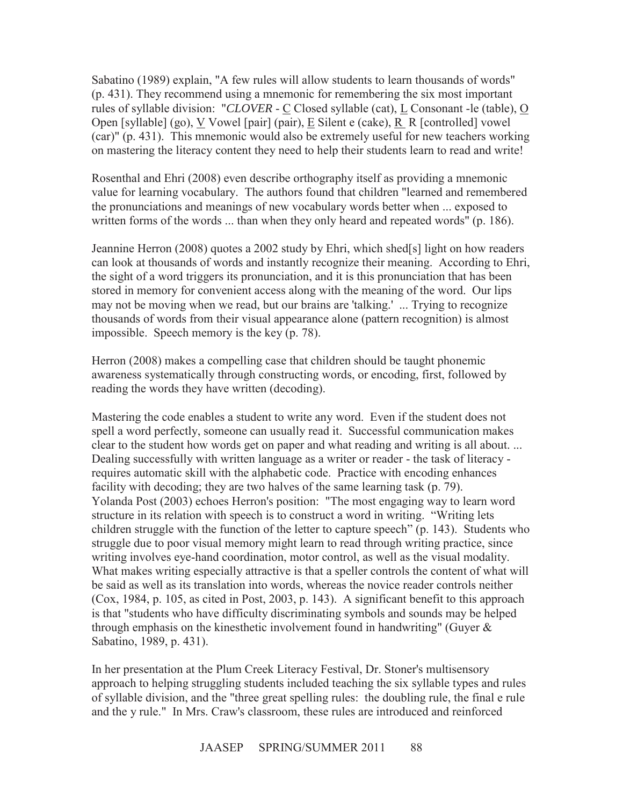Sabatino (1989) explain, "A few rules will allow students to learn thousands of words" (p. 431). They recommend using a mnemonic for remembering the six most important rules of syllable division: "*CLOVER* - C Closed syllable (cat), L Consonant -le (table), O Open [syllable] (go), V Vowel [pair] (pair), E Silent e (cake), R R [controlled] vowel (car)" (p. 431). This mnemonic would also be extremely useful for new teachers working on mastering the literacy content they need to help their students learn to read and write!

Rosenthal and Ehri (2008) even describe orthography itself as providing a mnemonic value for learning vocabulary. The authors found that children "learned and remembered the pronunciations and meanings of new vocabulary words better when ... exposed to written forms of the words ... than when they only heard and repeated words" (p. 186).

Jeannine Herron (2008) quotes a 2002 study by Ehri, which shed[s] light on how readers can look at thousands of words and instantly recognize their meaning. According to Ehri, the sight of a word triggers its pronunciation, and it is this pronunciation that has been stored in memory for convenient access along with the meaning of the word. Our lips may not be moving when we read, but our brains are 'talking.' ... Trying to recognize thousands of words from their visual appearance alone (pattern recognition) is almost impossible. Speech memory is the key (p. 78).

Herron (2008) makes a compelling case that children should be taught phonemic awareness systematically through constructing words, or encoding, first, followed by reading the words they have written (decoding).

Mastering the code enables a student to write any word. Even if the student does not spell a word perfectly, someone can usually read it. Successful communication makes clear to the student how words get on paper and what reading and writing is all about. ... Dealing successfully with written language as a writer or reader - the task of literacy requires automatic skill with the alphabetic code. Practice with encoding enhances facility with decoding; they are two halves of the same learning task (p. 79). Yolanda Post (2003) echoes Herron's position: "The most engaging way to learn word structure in its relation with speech is to construct a word in writing. "Writing lets children struggle with the function of the letter to capture speech" (p. 143). Students who struggle due to poor visual memory might learn to read through writing practice, since writing involves eye-hand coordination, motor control, as well as the visual modality. What makes writing especially attractive is that a speller controls the content of what will be said as well as its translation into words, whereas the novice reader controls neither (Cox, 1984, p. 105, as cited in Post, 2003, p. 143). A significant benefit to this approach is that "students who have difficulty discriminating symbols and sounds may be helped through emphasis on the kinesthetic involvement found in handwriting" (Guyer & Sabatino, 1989, p. 431).

In her presentation at the Plum Creek Literacy Festival, Dr. Stoner's multisensory approach to helping struggling students included teaching the six syllable types and rules of syllable division, and the "three great spelling rules: the doubling rule, the final e rule and the y rule." In Mrs. Craw's classroom, these rules are introduced and reinforced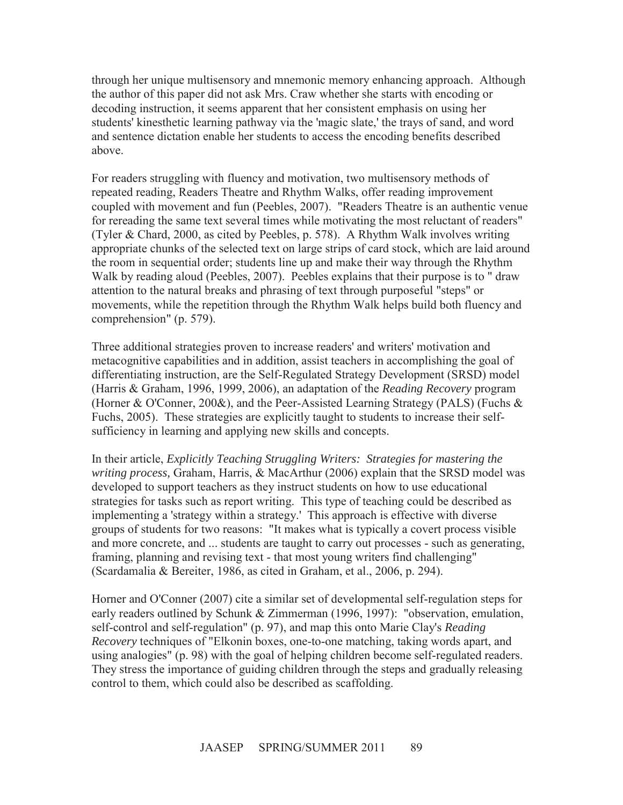through her unique multisensory and mnemonic memory enhancing approach. Although the author of this paper did not ask Mrs. Craw whether she starts with encoding or decoding instruction, it seems apparent that her consistent emphasis on using her students' kinesthetic learning pathway via the 'magic slate,' the trays of sand, and word and sentence dictation enable her students to access the encoding benefits described above.

For readers struggling with fluency and motivation, two multisensory methods of repeated reading, Readers Theatre and Rhythm Walks, offer reading improvement coupled with movement and fun (Peebles, 2007). "Readers Theatre is an authentic venue for rereading the same text several times while motivating the most reluctant of readers" (Tyler & Chard, 2000, as cited by Peebles, p. 578). A Rhythm Walk involves writing appropriate chunks of the selected text on large strips of card stock, which are laid around the room in sequential order; students line up and make their way through the Rhythm Walk by reading aloud (Peebles, 2007). Peebles explains that their purpose is to " draw attention to the natural breaks and phrasing of text through purposeful "steps" or movements, while the repetition through the Rhythm Walk helps build both fluency and comprehension" (p. 579).

Three additional strategies proven to increase readers' and writers' motivation and metacognitive capabilities and in addition, assist teachers in accomplishing the goal of differentiating instruction, are the Self-Regulated Strategy Development (SRSD) model (Harris & Graham, 1996, 1999, 2006), an adaptation of the *Reading Recovery* program (Horner & O'Conner, 200&), and the Peer-Assisted Learning Strategy (PALS) (Fuchs & Fuchs, 2005). These strategies are explicitly taught to students to increase their selfsufficiency in learning and applying new skills and concepts.

In their article, *Explicitly Teaching Struggling Writers: Strategies for mastering the writing process,* Graham, Harris, & MacArthur (2006) explain that the SRSD model was developed to support teachers as they instruct students on how to use educational strategies for tasks such as report writing. This type of teaching could be described as implementing a 'strategy within a strategy.' This approach is effective with diverse groups of students for two reasons: "It makes what is typically a covert process visible and more concrete, and ... students are taught to carry out processes - such as generating, framing, planning and revising text - that most young writers find challenging" (Scardamalia & Bereiter, 1986, as cited in Graham, et al., 2006, p. 294).

Horner and O'Conner (2007) cite a similar set of developmental self-regulation steps for early readers outlined by Schunk & Zimmerman (1996, 1997): "observation, emulation, self-control and self-regulation" (p. 97), and map this onto Marie Clay's *Reading Recovery* techniques of "Elkonin boxes, one-to-one matching, taking words apart, and using analogies" (p. 98) with the goal of helping children become self-regulated readers. They stress the importance of guiding children through the steps and gradually releasing control to them, which could also be described as scaffolding.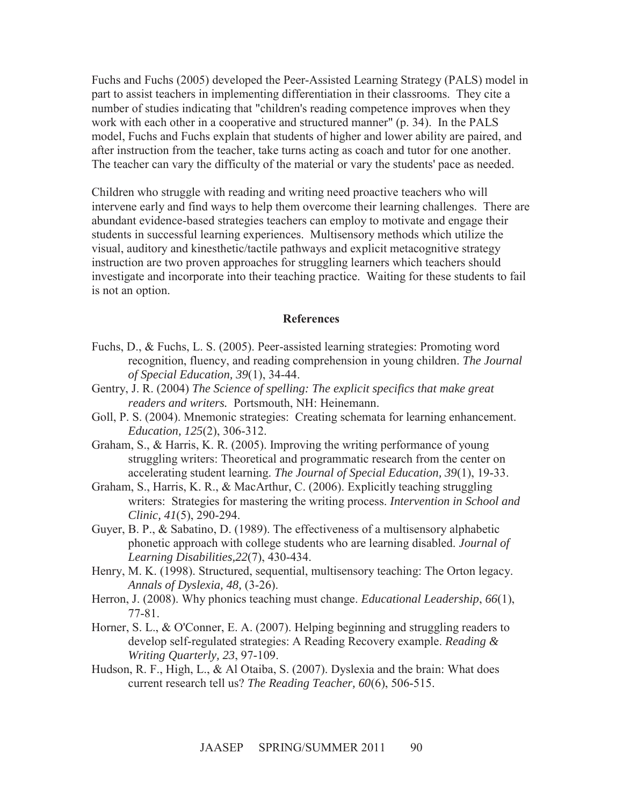Fuchs and Fuchs (2005) developed the Peer-Assisted Learning Strategy (PALS) model in part to assist teachers in implementing differentiation in their classrooms. They cite a number of studies indicating that "children's reading competence improves when they work with each other in a cooperative and structured manner" (p. 34). In the PALS model, Fuchs and Fuchs explain that students of higher and lower ability are paired, and after instruction from the teacher, take turns acting as coach and tutor for one another. The teacher can vary the difficulty of the material or vary the students' pace as needed.

Children who struggle with reading and writing need proactive teachers who will intervene early and find ways to help them overcome their learning challenges. There are abundant evidence-based strategies teachers can employ to motivate and engage their students in successful learning experiences. Multisensory methods which utilize the visual, auditory and kinesthetic/tactile pathways and explicit metacognitive strategy instruction are two proven approaches for struggling learners which teachers should investigate and incorporate into their teaching practice. Waiting for these students to fail is not an option.

#### **References**

- Fuchs, D., & Fuchs, L. S. (2005). Peer-assisted learning strategies: Promoting word recognition, fluency, and reading comprehension in young children. *The Journal of Special Education, 39*(1), 34-44.
- Gentry, J. R. (2004) *The Science of spelling: The explicit specifics that make great readers and writers.* Portsmouth, NH: Heinemann.
- Goll, P. S. (2004). Mnemonic strategies: Creating schemata for learning enhancement. *Education, 125*(2), 306-312.
- Graham, S., & Harris, K. R. (2005). Improving the writing performance of young struggling writers: Theoretical and programmatic research from the center on accelerating student learning. *The Journal of Special Education, 39*(1), 19-33.
- Graham, S., Harris, K. R., & MacArthur, C. (2006). Explicitly teaching struggling writers: Strategies for mastering the writing process. *Intervention in School and Clinic, 41*(5), 290-294.
- Guyer, B. P., & Sabatino, D. (1989). The effectiveness of a multisensory alphabetic phonetic approach with college students who are learning disabled. *Journal of Learning Disabilities,22*(7), 430-434.
- Henry, M. K. (1998). Structured, sequential, multisensory teaching: The Orton legacy. *Annals of Dyslexia, 48,* (3-26).
- Herron, J. (2008). Why phonics teaching must change. *Educational Leadership*, *66*(1), 77-81.
- Horner, S. L., & O'Conner, E. A. (2007). Helping beginning and struggling readers to develop self-regulated strategies: A Reading Recovery example. *Reading & Writing Quarterly, 23*, 97-109.
- Hudson, R. F., High, L., & Al Otaiba, S. (2007). Dyslexia and the brain: What does current research tell us? *The Reading Teacher, 60*(6), 506-515.